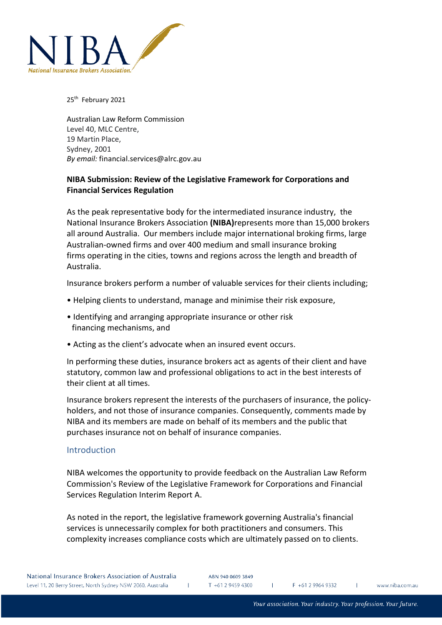

25<sup>th</sup> February 2021

Australian Law Reform Commission Level 40, MLC Centre, 19 Martin Place, Sydney, 2001 *By email:* financial.services@alrc.gov.au

# **NIBA Submission: Review of the Legislative Framework for Corporations and Financial Services Regulation**

As the peak representative body for the intermediated insurance industry, the National Insurance Brokers Association **(NIBA)**represents more than 15,000 brokers all around Australia. Our members include major international broking firms, large Australian-owned firms and over 400 medium and small insurance broking firms operating in the cities, towns and regions across the length and breadth of Australia.

Insurance brokers perform a number of valuable services for their clients including;

- Helping clients to understand, manage and minimise their risk exposure,
- Identifying and arranging appropriate insurance or other risk financing mechanisms, and
- Acting as the client's advocate when an insured event occurs.

In performing these duties, insurance brokers act as agents of their client and have statutory, common law and professional obligations to act in the best interests of their client at all times.

Insurance brokers represent the interests of the purchasers of insurance, the policyholders, and not those of insurance companies. Consequently, comments made by NIBA and its members are made on behalf of its members and the public that purchases insurance not on behalf of insurance companies.

### **Introduction**

NIBA welcomes the opportunity to provide feedback on the Australian Law Reform Commission's Review of the Legislative Framework for Corporations and Financial Services Regulation Interim Report A.

As noted in the report, the legislative framework governing Australia's financial services is unnecessarily complex for both practitioners and consumers. This complexity increases compliance costs which are ultimately passed on to clients.

 $F + 61299649332$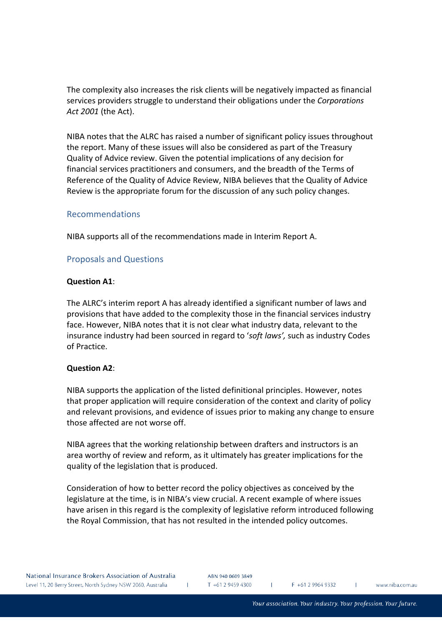The complexity also increases the risk clients will be negatively impacted as financial services providers struggle to understand their obligations under the *Corporations Act 2001* (the Act).

NIBA notes that the ALRC has raised a number of significant policy issues throughout the report. Many of these issues will also be considered as part of the Treasury Quality of Advice review. Given the potential implications of any decision for financial services practitioners and consumers, and the breadth of the Terms of Reference of the Quality of Advice Review, NIBA believes that the Quality of Advice Review is the appropriate forum for the discussion of any such policy changes.

### Recommendations

NIBA supports all of the recommendations made in Interim Report A.

#### Proposals and Questions

#### **Question A1**:

The ALRC's interim report A has already identified a significant number of laws and provisions that have added to the complexity those in the financial services industry face. However, NIBA notes that it is not clear what industry data, relevant to the insurance industry had been sourced in regard to '*soft laws',* such as industry Codes of Practice.

#### **Question A2**:

NIBA supports the application of the listed definitional principles. However, notes that proper application will require consideration of the context and clarity of policy and relevant provisions, and evidence of issues prior to making any change to ensure those affected are not worse off.

NIBA agrees that the working relationship between drafters and instructors is an area worthy of review and reform, as it ultimately has greater implications for the quality of the legislation that is produced.

Consideration of how to better record the policy objectives as conceived by the legislature at the time, is in NIBA's view crucial. A recent example of where issues have arisen in this regard is the complexity of legislative reform introduced following the Royal Commission, that has not resulted in the intended policy outcomes.

 $\mathbf{L}$ 

T.

www.niba.com.au

 $\mathbf{I}$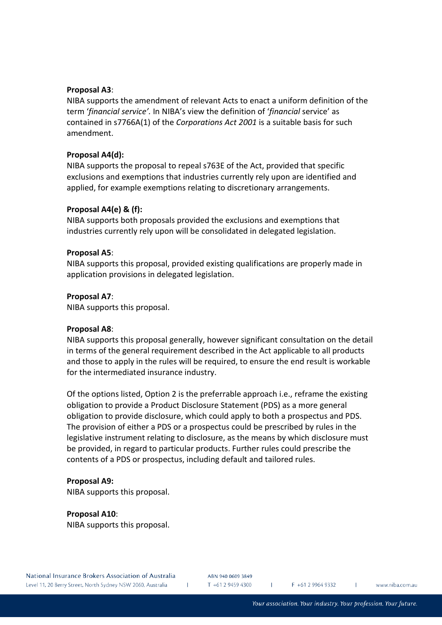## **Proposal A3**:

NIBA supports the amendment of relevant Acts to enact a uniform definition of the term '*financial service'.* In NIBA's view the definition of '*financial* service' as contained in s7766A(1) of the *Corporations Act 2001* is a suitable basis for such amendment.

## **Proposal A4(d):**

NIBA supports the proposal to repeal s763E of the Act, provided that specific exclusions and exemptions that industries currently rely upon are identified and applied, for example exemptions relating to discretionary arrangements.

## **Proposal A4(e) & (f):**

NIBA supports both proposals provided the exclusions and exemptions that industries currently rely upon will be consolidated in delegated legislation.

## **Proposal A5**:

NIBA supports this proposal, provided existing qualifications are properly made in application provisions in delegated legislation.

## **Proposal A7**:

NIBA supports this proposal.

### **Proposal A8**:

NIBA supports this proposal generally, however significant consultation on the detail in terms of the general requirement described in the Act applicable to all products and those to apply in the rules will be required, to ensure the end result is workable for the intermediated insurance industry.

Of the options listed, Option 2 is the preferrable approach i.e., reframe the existing obligation to provide a Product Disclosure Statement (PDS) as a more general obligation to provide disclosure, which could apply to both a prospectus and PDS. The provision of either a PDS or a prospectus could be prescribed by rules in the legislative instrument relating to disclosure, as the means by which disclosure must be provided, in regard to particular products. Further rules could prescribe the contents of a PDS or prospectus, including default and tailored rules.

# **Proposal A9:**

NIBA supports this proposal.

**Proposal A10**: NIBA supports this proposal.

ABN 940 0609 3849 T +61 2 9459 4300

 $\mathbf{L}$ 

 $F + 61299649332$ 

T.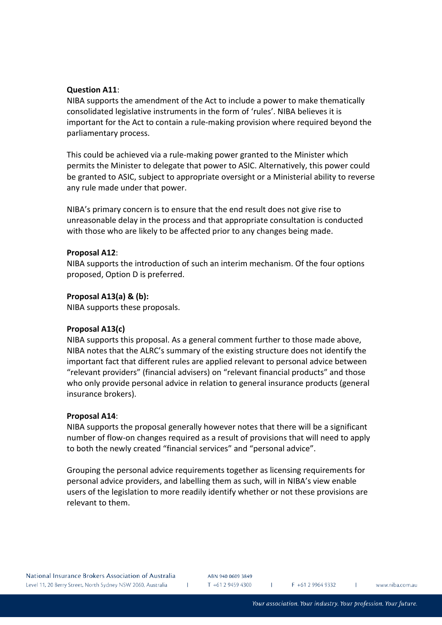## **Question A11**:

NIBA supports the amendment of the Act to include a power to make thematically consolidated legislative instruments in the form of 'rules'. NIBA believes it is important for the Act to contain a rule-making provision where required beyond the parliamentary process.

This could be achieved via a rule-making power granted to the Minister which permits the Minister to delegate that power to ASIC. Alternatively, this power could be granted to ASIC, subject to appropriate oversight or a Ministerial ability to reverse any rule made under that power.

NIBA's primary concern is to ensure that the end result does not give rise to unreasonable delay in the process and that appropriate consultation is conducted with those who are likely to be affected prior to any changes being made.

### **Proposal A12**:

NIBA supports the introduction of such an interim mechanism. Of the four options proposed, Option D is preferred.

### **Proposal A13(a) & (b):**

NIBA supports these proposals.

### **Proposal A13(c)**

NIBA supports this proposal. As a general comment further to those made above, NIBA notes that the ALRC's summary of the existing structure does not identify the important fact that different rules are applied relevant to personal advice between "relevant providers" (financial advisers) on "relevant financial products" and those who only provide personal advice in relation to general insurance products (general insurance brokers).

### **Proposal A14**:

NIBA supports the proposal generally however notes that there will be a significant number of flow-on changes required as a result of provisions that will need to apply to both the newly created "financial services" and "personal advice".

Grouping the personal advice requirements together as licensing requirements for personal advice providers, and labelling them as such, will in NIBA's view enable users of the legislation to more readily identify whether or not these provisions are relevant to them.

ABN 940 0609 3849  $T + 61294594300$ 

 $\mathbf{L}$ 

 $F + 61299649332$ 

T.

 $\mathbf{I}$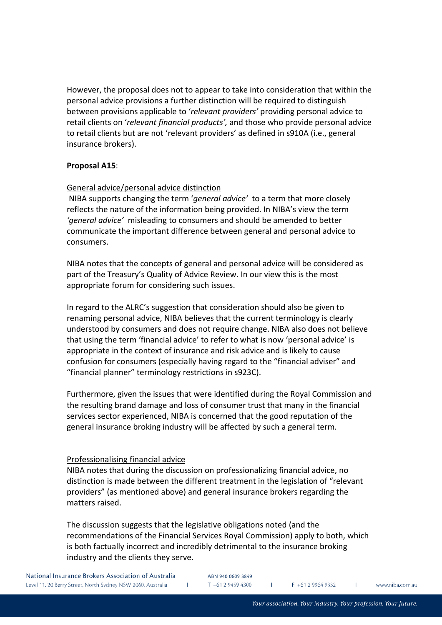However, the proposal does not to appear to take into consideration that within the personal advice provisions a further distinction will be required to distinguish between provisions applicable to '*relevant providers'* providing personal advice to retail clients on '*relevant financial products',* and those who provide personal advice to retail clients but are not 'relevant providers' as defined in s910A (i.e., general insurance brokers).

### **Proposal A15**:

### General advice/personal advice distinction

NIBA supports changing the term '*general advice'* to a term that more closely reflects the nature of the information being provided. In NIBA's view the term *'general advice'* misleading to consumers and should be amended to better communicate the important difference between general and personal advice to consumers.

NIBA notes that the concepts of general and personal advice will be considered as part of the Treasury's Quality of Advice Review. In our view this is the most appropriate forum for considering such issues.

In regard to the ALRC's suggestion that consideration should also be given to renaming personal advice, NIBA believes that the current terminology is clearly understood by consumers and does not require change. NIBA also does not believe that using the term 'financial advice' to refer to what is now 'personal advice' is appropriate in the context of insurance and risk advice and is likely to cause confusion for consumers (especially having regard to the "financial adviser" and "financial planner" terminology restrictions in s923C).

Furthermore, given the issues that were identified during the Royal Commission and the resulting brand damage and loss of consumer trust that many in the financial services sector experienced, NIBA is concerned that the good reputation of the general insurance broking industry will be affected by such a general term.

### Professionalising financial advice

NIBA notes that during the discussion on professionalizing financial advice, no distinction is made between the different treatment in the legislation of "relevant providers" (as mentioned above) and general insurance brokers regarding the matters raised.

The discussion suggests that the legislative obligations noted (and the recommendations of the Financial Services Royal Commission) apply to both, which is both factually incorrect and incredibly detrimental to the insurance broking industry and the clients they serve.

ABN 940 0609 3849 T +61 2 9459 4300

F +61 2 9964 9332

www.niba.com.au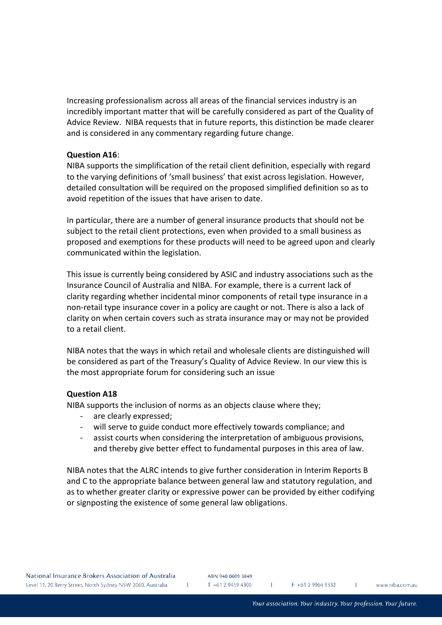Increasing professionalism across all areas of the financial services industry is an incredibly important matter that will be carefully considered as part of the Quality of Advice Review. NIBA requests that in future reports, this distinction be made clearer and is considered in any commentary regarding future change.

#### **Question A16**:

NIBA supports the simplification of the retail client definition, especially with regard to the varying definitions of 'small business' that exist across legislation. However, detailed consultation will be required on the proposed simplified definition so as to avoid repetition of the issues that have arisen to date.

In particular, there are a number of general insurance products that should not be subject to the retail client protections, even when provided to a small business as proposed and exemptions for these products will need to be agreed upon and clearly communicated within the legislation.

This issue is currently being considered by ASIC and industry associations such as the Insurance Council of Australia and NIBA. For example, there is a current lack of clarity regarding whether incidental minor components of retail type insurance in a non-retail type insurance cover in a policy are caught or not. There is also a lack of clarity on when certain covers such as strata insurance may or may not be provided to a retail client.

NIBA notes that the ways in which retail and wholesale clients are distinguished will be considered as part of the Treasury's Quality of Advice Review. In our view this is the most appropriate forum for considering such an issue

#### **Question A18**

NIBA supports the inclusion of norms as an objects clause where they;

 $\mathbf{L}$ 

- are clearly expressed;
- will serve to guide conduct more effectively towards compliance; and
- assist courts when considering the interpretation of ambiguous provisions, and thereby give better effect to fundamental purposes in this area of law.

NIBA notes that the ALRC intends to give further consideration in Interim Reports B and C to the appropriate balance between general law and statutory regulation, and as to whether greater clarity or expressive power can be provided by either codifying or signposting the existence of some general law obligations.

ABN 940 0609 3849 T +61 2 9459 4300

 $F + 61299649332$ 

T.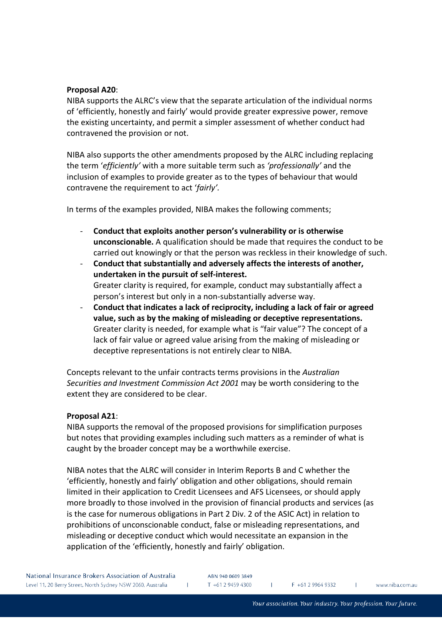## **Proposal A20**:

NIBA supports the ALRC's view that the separate articulation of the individual norms of 'efficiently, honestly and fairly' would provide greater expressive power, remove the existing uncertainty, and permit a simpler assessment of whether conduct had contravened the provision or not.

NIBA also supports the other amendments proposed by the ALRC including replacing the term '*efficiently'* with a more suitable term such as *'professionally'* and the inclusion of examples to provide greater as to the types of behaviour that would contravene the requirement to act '*fairly'.* 

In terms of the examples provided, NIBA makes the following comments;

- **Conduct that exploits another person's vulnerability or is otherwise unconscionable.** A qualification should be made that requires the conduct to be carried out knowingly or that the person was reckless in their knowledge of such.
- **Conduct that substantially and adversely affects the interests of another, undertaken in the pursuit of self-interest.**  Greater clarity is required, for example, conduct may substantially affect a person's interest but only in a non-substantially adverse way.
- **Conduct that indicates a lack of reciprocity, including a lack of fair or agreed value, such as by the making of misleading or deceptive representations.**  Greater clarity is needed, for example what is "fair value"? The concept of a lack of fair value or agreed value arising from the making of misleading or deceptive representations is not entirely clear to NIBA.

Concepts relevant to the unfair contracts terms provisions in the *Australian Securities and Investment Commission Act 2001* may be worth considering to the extent they are considered to be clear.

# **Proposal A21**:

NIBA supports the removal of the proposed provisions for simplification purposes but notes that providing examples including such matters as a reminder of what is caught by the broader concept may be a worthwhile exercise.

NIBA notes that the ALRC will consider in Interim Reports B and C whether the 'efficiently, honestly and fairly' obligation and other obligations, should remain limited in their application to Credit Licensees and AFS Licensees, or should apply more broadly to those involved in the provision of financial products and services (as is the case for numerous obligations in Part 2 Div. 2 of the ASIC Act) in relation to prohibitions of unconscionable conduct, false or misleading representations, and misleading or deceptive conduct which would necessitate an expansion in the application of the 'efficiently, honestly and fairly' obligation.

ABN 940 0609 3849

 $T + 61294594300$  $F + 61299649332$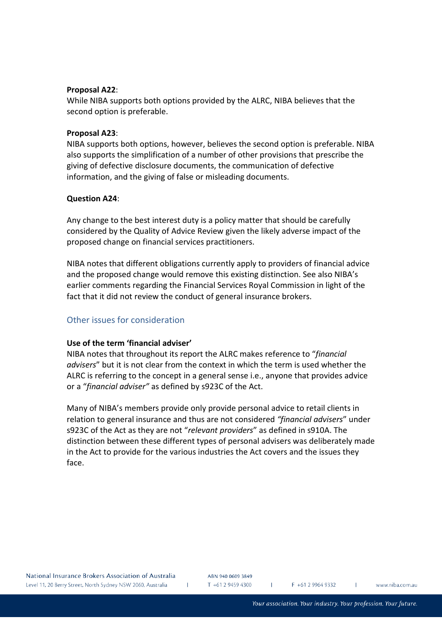#### **Proposal A22**:

While NIBA supports both options provided by the ALRC, NIBA believes that the second option is preferable.

#### **Proposal A23**:

NIBA supports both options, however, believes the second option is preferable. NIBA also supports the simplification of a number of other provisions that prescribe the giving of defective disclosure documents, the communication of defective information, and the giving of false or misleading documents.

#### **Question A24**:

Any change to the best interest duty is a policy matter that should be carefully considered by the Quality of Advice Review given the likely adverse impact of the proposed change on financial services practitioners.

NIBA notes that different obligations currently apply to providers of financial advice and the proposed change would remove this existing distinction. See also NIBA's earlier comments regarding the Financial Services Royal Commission in light of the fact that it did not review the conduct of general insurance brokers.

# Other issues for consideration

### **Use of the term 'financial adviser'**

NIBA notes that throughout its report the ALRC makes reference to "*financial advisers*" but it is not clear from the context in which the term is used whether the ALRC is referring to the concept in a general sense i.e., anyone that provides advice or a "*financial adviser"* as defined by s923C of the Act.

Many of NIBA's members provide only provide personal advice to retail clients in relation to general insurance and thus are not considered *"financial advisers*" under s923C of the Act as they are not "*relevant providers*" as defined in s910A. The distinction between these different types of personal advisers was deliberately made in the Act to provide for the various industries the Act covers and the issues they face.

ABN 940 0609 3849  $T + 61294594300$ 

 $\mathbf{L}$ 

 $F + 61299649332$ 

T.

www.niba.com.au